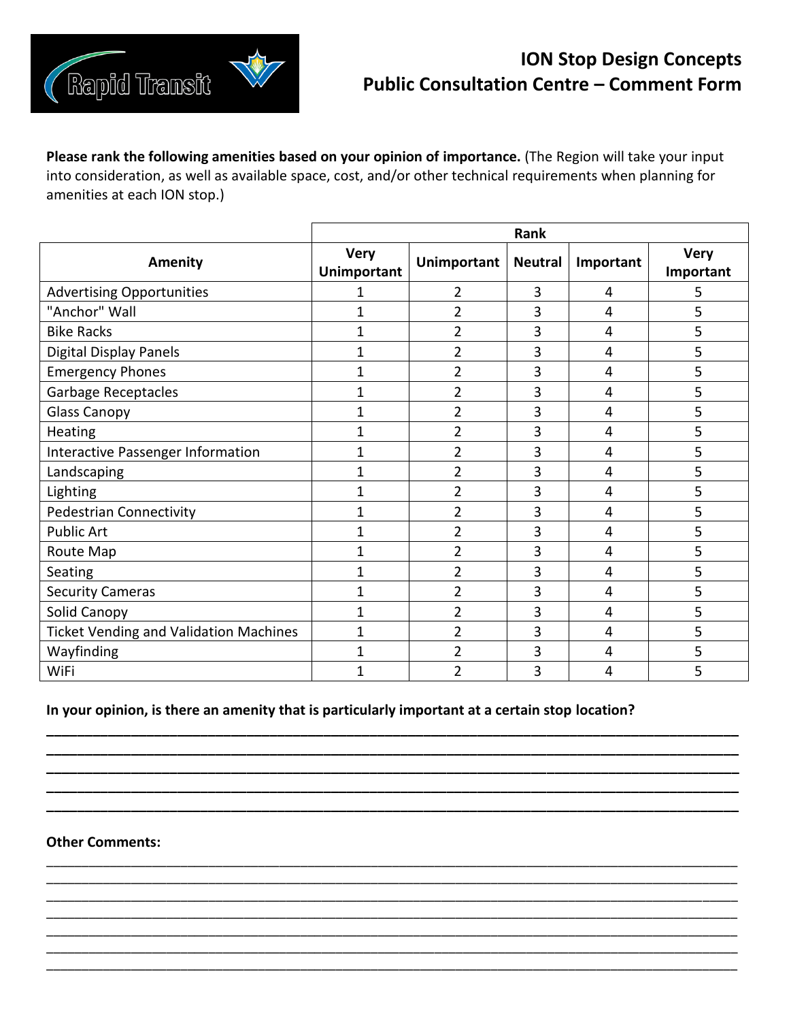

## **ION Stop Design Concepts Public Consultation Centre – Comment Form**

**Please rank the following amenities based on your opinion of importance.** (The Region will take your input into consideration, as well as available space, cost, and/or other technical requirements when planning for amenities at each ION stop.)

|                                               | Rank                              |                    |                |           |                          |
|-----------------------------------------------|-----------------------------------|--------------------|----------------|-----------|--------------------------|
| Amenity                                       | <b>Very</b><br><b>Unimportant</b> | <b>Unimportant</b> | <b>Neutral</b> | Important | <b>Very</b><br>Important |
| <b>Advertising Opportunities</b>              |                                   | 2                  | 3              | 4         | 5                        |
| "Anchor" Wall                                 | 1                                 | $\overline{2}$     | 3              | 4         | 5                        |
| <b>Bike Racks</b>                             | $\overline{1}$                    | $\overline{2}$     | 3              | 4         | 5                        |
| Digital Display Panels                        | $\mathbf{1}$                      | $\overline{2}$     | 3              | 4         | 5                        |
| <b>Emergency Phones</b>                       | $\overline{1}$                    | $\overline{2}$     | 3              | 4         | 5                        |
| <b>Garbage Receptacles</b>                    | $\mathbf{1}$                      | 2                  | 3              | 4         | 5                        |
| <b>Glass Canopy</b>                           | $\mathbf{1}$                      | 2                  | 3              | 4         | 5                        |
| <b>Heating</b>                                | $\mathbf{1}$                      | $\overline{2}$     | 3              | 4         | 5                        |
| Interactive Passenger Information             | 1                                 | $\overline{2}$     | 3              | 4         | 5                        |
| Landscaping                                   | 1                                 | $\overline{2}$     | 3              | 4         | 5                        |
| Lighting                                      | 1                                 | $\overline{2}$     | 3              | 4         | 5                        |
| Pedestrian Connectivity                       | 1                                 | 2                  | 3              | 4         | 5                        |
| <b>Public Art</b>                             | 1                                 | $\overline{2}$     | 3              | 4         | 5                        |
| Route Map                                     | 1                                 | $\overline{2}$     | 3              | 4         | 5                        |
| Seating                                       | 1                                 | $\overline{2}$     | 3              | 4         | 5                        |
| <b>Security Cameras</b>                       | $\overline{1}$                    | 2                  | 3              | 4         | 5                        |
| Solid Canopy                                  | $\overline{1}$                    | $\overline{2}$     | 3              | 4         | 5                        |
| <b>Ticket Vending and Validation Machines</b> | 1                                 | $\overline{2}$     | 3              | 4         | 5                        |
| Wayfinding                                    | $\mathbf{1}$                      | 2                  | 3              | 4         | 5                        |
| WiFi                                          | $\overline{1}$                    | 2                  | 3              | 4         | 5                        |

## **In your opinion, is there an amenity that is particularly important at a certain stop location?**

**\_\_\_\_\_\_\_\_\_\_\_\_\_\_\_\_\_\_\_\_\_\_\_\_\_\_\_\_\_\_\_\_\_\_\_\_\_\_\_\_\_\_\_\_\_\_\_\_\_\_\_\_\_\_\_\_\_\_\_\_\_\_\_\_\_\_\_\_\_\_\_\_\_\_\_\_\_\_\_\_\_\_\_\_\_\_\_\_\_\_ \_\_\_\_\_\_\_\_\_\_\_\_\_\_\_\_\_\_\_\_\_\_\_\_\_\_\_\_\_\_\_\_\_\_\_\_\_\_\_\_\_\_\_\_\_\_\_\_\_\_\_\_\_\_\_\_\_\_\_\_\_\_\_\_\_\_\_\_\_\_\_\_\_\_\_\_\_\_\_\_\_\_\_\_\_\_\_\_\_\_ \_\_\_\_\_\_\_\_\_\_\_\_\_\_\_\_\_\_\_\_\_\_\_\_\_\_\_\_\_\_\_\_\_\_\_\_\_\_\_\_\_\_\_\_\_\_\_\_\_\_\_\_\_\_\_\_\_\_\_\_\_\_\_\_\_\_\_\_\_\_\_\_\_\_\_\_\_\_\_\_\_\_\_\_\_\_\_\_\_\_ \_\_\_\_\_\_\_\_\_\_\_\_\_\_\_\_\_\_\_\_\_\_\_\_\_\_\_\_\_\_\_\_\_\_\_\_\_\_\_\_\_\_\_\_\_\_\_\_\_\_\_\_\_\_\_\_\_\_\_\_\_\_\_\_\_\_\_\_\_\_\_\_\_\_\_\_\_\_\_\_\_\_\_\_\_\_\_\_\_\_ \_\_\_\_\_\_\_\_\_\_\_\_\_\_\_\_\_\_\_\_\_\_\_\_\_\_\_\_\_\_\_\_\_\_\_\_\_\_\_\_\_\_\_\_\_\_\_\_\_\_\_\_\_\_\_\_\_\_\_\_\_\_\_\_\_\_\_\_\_\_\_\_\_\_\_\_\_\_\_\_\_\_\_\_\_\_\_\_\_\_**

\_\_\_\_\_\_\_\_\_\_\_\_\_\_\_\_\_\_\_\_\_\_\_\_\_\_\_\_\_\_\_\_\_\_\_\_\_\_\_\_\_\_\_\_\_\_\_\_\_\_\_\_\_\_\_\_\_\_\_\_\_\_\_\_\_\_\_\_\_\_\_\_\_\_\_\_\_\_\_\_\_\_\_\_\_\_\_\_\_\_\_\_\_\_\_\_\_\_ \_\_\_\_\_\_\_\_\_\_\_\_\_\_\_\_\_\_\_\_\_\_\_\_\_\_\_\_\_\_\_\_\_\_\_\_\_\_\_\_\_\_\_\_\_\_\_\_\_\_\_\_\_\_\_\_\_\_\_\_\_\_\_\_\_\_\_\_\_\_\_\_\_\_\_\_\_\_\_\_\_\_\_\_\_\_\_\_\_\_\_\_\_\_\_\_\_\_ \_\_\_\_\_\_\_\_\_\_\_\_\_\_\_\_\_\_\_\_\_\_\_\_\_\_\_\_\_\_\_\_\_\_\_\_\_\_\_\_\_\_\_\_\_\_\_\_\_\_\_\_\_\_\_\_\_\_\_\_\_\_\_\_\_\_\_\_\_\_\_\_\_\_\_\_\_\_\_\_\_\_\_\_\_\_\_\_\_\_\_\_\_\_\_\_\_\_ \_\_\_\_\_\_\_\_\_\_\_\_\_\_\_\_\_\_\_\_\_\_\_\_\_\_\_\_\_\_\_\_\_\_\_\_\_\_\_\_\_\_\_\_\_\_\_\_\_\_\_\_\_\_\_\_\_\_\_\_\_\_\_\_\_\_\_\_\_\_\_\_\_\_\_\_\_\_\_\_\_\_\_\_\_\_\_\_\_\_\_\_\_\_\_\_\_\_ \_\_\_\_\_\_\_\_\_\_\_\_\_\_\_\_\_\_\_\_\_\_\_\_\_\_\_\_\_\_\_\_\_\_\_\_\_\_\_\_\_\_\_\_\_\_\_\_\_\_\_\_\_\_\_\_\_\_\_\_\_\_\_\_\_\_\_\_\_\_\_\_\_\_\_\_\_\_\_\_\_\_\_\_\_\_\_\_\_\_\_\_\_\_\_\_\_\_ \_\_\_\_\_\_\_\_\_\_\_\_\_\_\_\_\_\_\_\_\_\_\_\_\_\_\_\_\_\_\_\_\_\_\_\_\_\_\_\_\_\_\_\_\_\_\_\_\_\_\_\_\_\_\_\_\_\_\_\_\_\_\_\_\_\_\_\_\_\_\_\_\_\_\_\_\_\_\_\_\_\_\_\_\_\_\_\_\_\_\_\_\_\_\_\_\_\_ \_\_\_\_\_\_\_\_\_\_\_\_\_\_\_\_\_\_\_\_\_\_\_\_\_\_\_\_\_\_\_\_\_\_\_\_\_\_\_\_\_\_\_\_\_\_\_\_\_\_\_\_\_\_\_\_\_\_\_\_\_\_\_\_\_\_\_\_\_\_\_\_\_\_\_\_\_\_\_\_\_\_\_\_\_\_\_\_\_\_\_\_\_\_\_\_\_\_

## **Other Comments:**